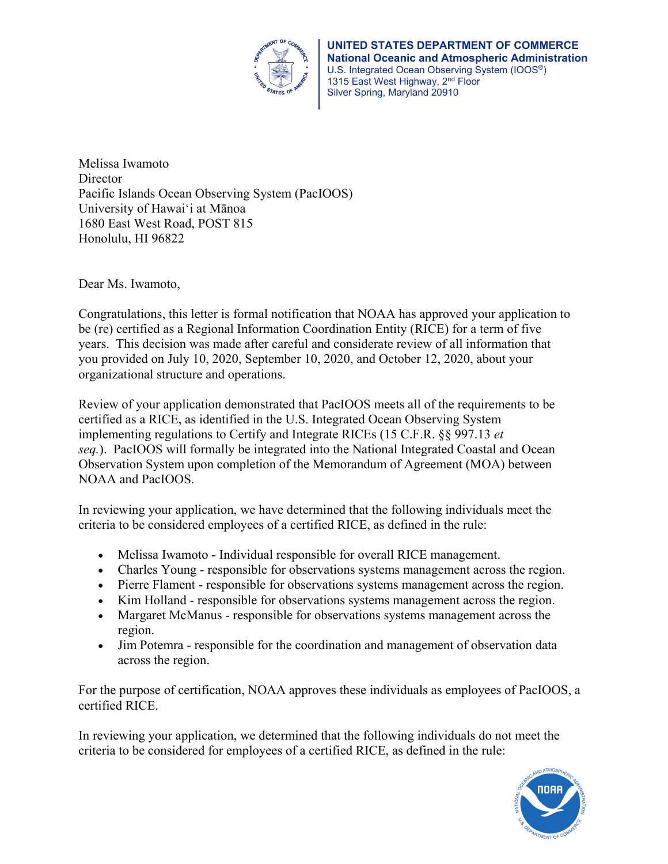

Melissa Iwamoto **Director** Pacific Islands Ocean Observing System (PacIOOS) University of Hawaiʻi at Mānoa 1680 East West Road, POST 815 Honolulu, HI 96822

Dear Ms. Iwamoto,

Congratulations, this letter is formal notification that NOAA has approved your application to be (re) certified as a Regional Information Coordination Entity (RICE) for a term of five years. This decision was made after careful and considerate review of all information that you provided on July 10, 2020, September 10, 2020, and October 12, 2020, about your organizational structure and operations.

Review of your application demonstrated that PacIOOS meets all of the requirements to be certified as a RICE, as identified in the U.S. Integrated Ocean Observing System implementing regulations to Certify and Integrate RICEs (15 C.F.R. §§ 997.13 *et seq.*). PacIOOS will formally be integrated into the National Integrated Coastal and Ocean Observation System upon completion of the Memorandum of Agreement (MOA) between NOAA and PacIOOS.

In reviewing your application, we have determined that the following individuals meet the criteria to be considered employees of a certified RICE, as defined in the rule:

- Melissa Iwamoto Individual responsible for overall RICE management.
- Charles Young responsible for observations systems management across the region.
- Pierre Flament responsible for observations systems management across the region.
- Kim Holland responsible for observations systems management across the region.
- Margaret McManus responsible for observations systems management across the region.
- Jim Potemra responsible for the coordination and management of observation data across the region.

For the purpose of certification, NOAA approves these individuals as employees of PacIOOS, a certified RICE.

In reviewing your application, we determined that the following individuals do not meet the criteria to be considered for employees of a certified RICE, as defined in the rule: